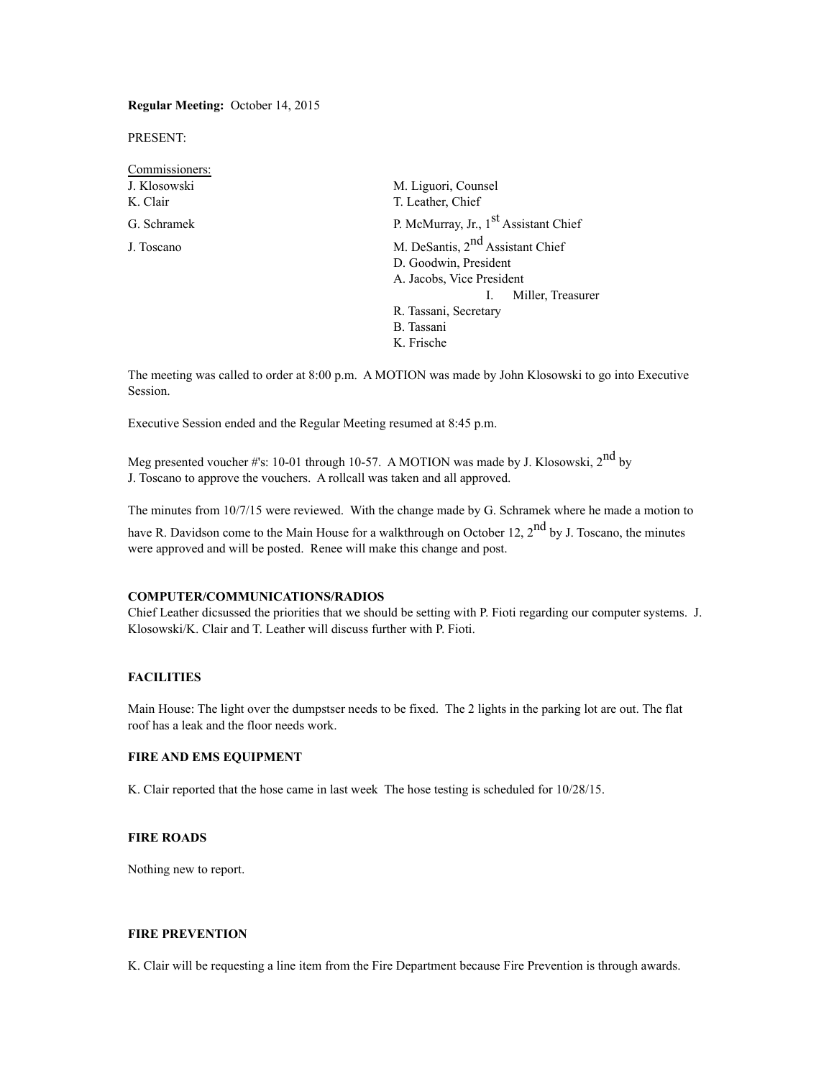**Regular Meeting:** October 14, 2015

PRESENT:

| Commissioners: |                                                                       |  |  |  |  |
|----------------|-----------------------------------------------------------------------|--|--|--|--|
| J. Klosowski   | M. Liguori, Counsel                                                   |  |  |  |  |
| K. Clair       | T. Leather, Chief                                                     |  |  |  |  |
| G. Schramek    | P. McMurray, Jr., 1 <sup>st</sup> Assistant Chief                     |  |  |  |  |
| J. Toscano     | M. DeSantis, 2 <sup>nd</sup> Assistant Chief<br>D. Goodwin, President |  |  |  |  |
|                | A. Jacobs, Vice President                                             |  |  |  |  |
|                | Miller, Treasurer                                                     |  |  |  |  |
|                | R. Tassani, Secretary                                                 |  |  |  |  |
|                | B. Tassani                                                            |  |  |  |  |
|                | K. Frische                                                            |  |  |  |  |
|                |                                                                       |  |  |  |  |

The meeting was called to order at 8:00 p.m. A MOTION was made by John Klosowski to go into Executive Session.

Executive Session ended and the Regular Meeting resumed at 8:45 p.m.

Meg presented voucher #'s: 10-01 through 10-57. A MOTION was made by J. Klosowski, 2<sup>nd</sup> by J. Toscano to approve the vouchers. A rollcall was taken and all approved.

The minutes from 10/7/15 were reviewed. With the change made by G. Schramek where he made a motion to

have R. Davidson come to the Main House for a walkthrough on October 12, 2<sup>nd</sup> by J. Toscano, the minutes were approved and will be posted. Renee will make this change and post.

#### **COMPUTER/COMMUNICATIONS/RADIOS**

Chief Leather dicsussed the priorities that we should be setting with P. Fioti regarding our computer systems. J. Klosowski/K. Clair and T. Leather will discuss further with P. Fioti.

## **FACILITIES**

Main House: The light over the dumpstser needs to be fixed. The 2 lights in the parking lot are out. The flat roof has a leak and the floor needs work.

# **FIRE AND EMS EQUIPMENT**

K. Clair reported that the hose came in last week The hose testing is scheduled for 10/28/15.

# **FIRE ROADS**

Nothing new to report.

#### **FIRE PREVENTION**

K. Clair will be requesting a line item from the Fire Department because Fire Prevention is through awards.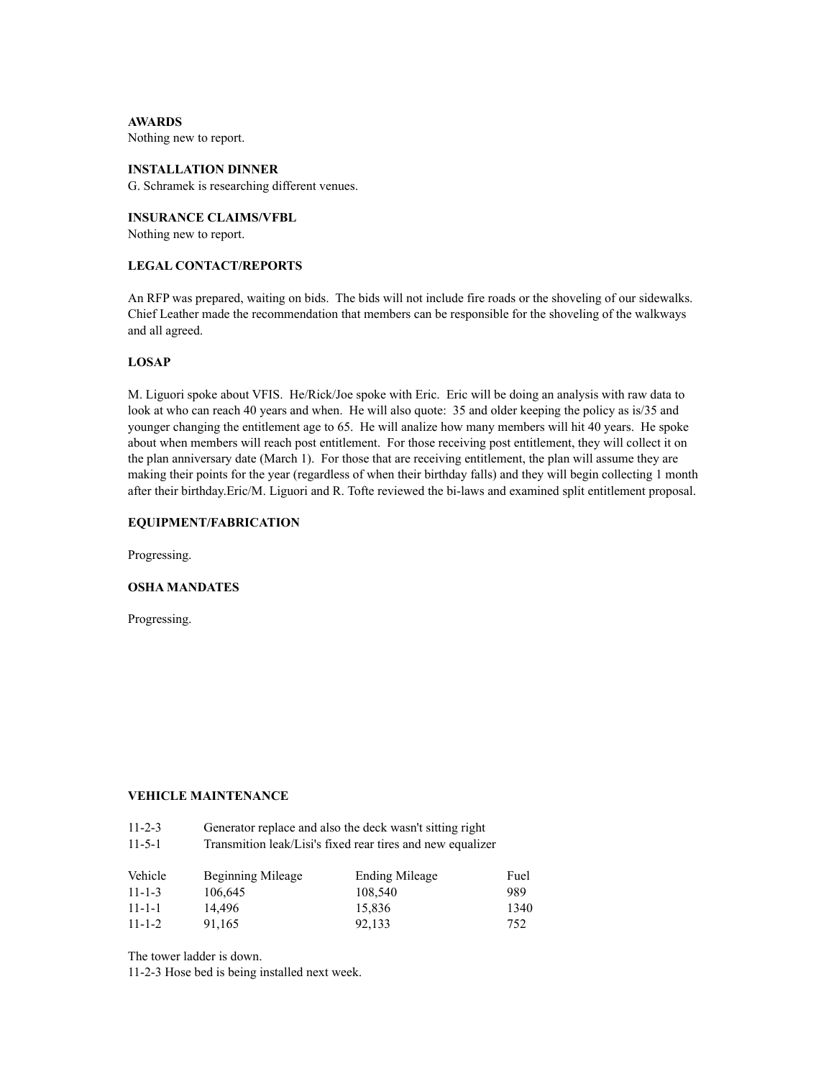**AWARDS** Nothing new to report.

# **INSTALLATION DINNER**

G. Schramek is researching different venues.

**INSURANCE CLAIMS/VFBL** Nothing new to report.

# **LEGAL CONTACT/REPORTS**

An RFP was prepared, waiting on bids. The bids will not include fire roads or the shoveling of our sidewalks. Chief Leather made the recommendation that members can be responsible for the shoveling of the walkways and all agreed.

# **LOSAP**

M. Liguori spoke about VFIS. He/Rick/Joe spoke with Eric. Eric will be doing an analysis with raw data to look at who can reach 40 years and when. He will also quote: 35 and older keeping the policy as is/35 and younger changing the entitlement age to 65. He will analize how many members will hit 40 years. He spoke about when members will reach post entitlement. For those receiving post entitlement, they will collect it on the plan anniversary date (March 1). For those that are receiving entitlement, the plan will assume they are making their points for the year (regardless of when their birthday falls) and they will begin collecting 1 month after their birthday.Eric/M. Liguori and R. Tofte reviewed the bi-laws and examined split entitlement proposal.

#### **EQUIPMENT/FABRICATION**

Progressing.

#### **OSHA MANDATES**

Progressing.

# **VEHICLE MAINTENANCE**

| $11 - 2 - 3$ |  |  | Generator replace and also the deck wasn't sitting right |  |
|--------------|--|--|----------------------------------------------------------|--|
|              |  |  |                                                          |  |

11-5-1 Transmition leak/Lisi's fixed rear tires and new equalizer

| Vehicle      | Beginning Mileage | Ending Mileage | Fuel |
|--------------|-------------------|----------------|------|
| $11 - 1 - 3$ | 106.645           | 108.540        | 989  |
| $11 - 1 - 1$ | 14.496            | 15.836         | 1340 |
| $11 - 1 - 2$ | 91.165            | 92.133         | 752  |

The tower ladder is down.

11-2-3 Hose bed is being installed next week.